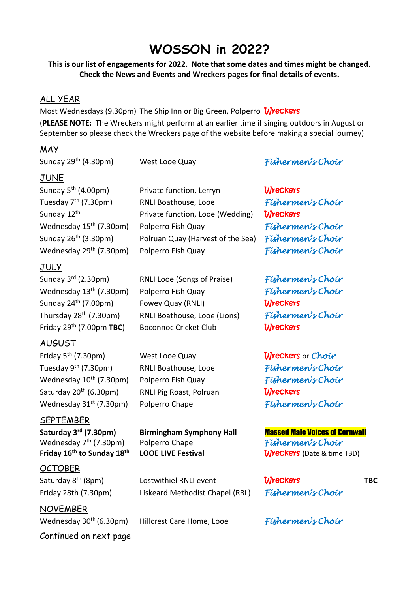# **WOSSON in 2022?**

**This is our list of engagements for 2022. Note that some dates and times might be changed. Check the News and Events and Wreckers pages for final details of events.**

#### ALL YEAR

Most Wednesdays (9.30pm) The Ship Inn or Big Green, Polperro Wreckers (**PLEASE NOTE:** The Wreckers might perform at an earlier time if singing outdoors in August or September so please check the Wreckers page of the website before making a special journey)

#### MAY

| Sunday 29 <sup>th</sup> (4.30pm)                   | West Looe Quay                    | Fishermen's Choir                     |            |
|----------------------------------------------------|-----------------------------------|---------------------------------------|------------|
| JUNE                                               |                                   |                                       |            |
| Sunday 5 <sup>th</sup> (4.00pm)                    | Private function, Lerryn          | <b>Wreckers</b>                       |            |
| Tuesday 7 <sup>th</sup> (7.30pm)                   | RNLI Boathouse, Looe              | Fishermen's Choir                     |            |
| Sunday 12 <sup>th</sup>                            | Private function, Looe (Wedding)  | <b>Wreckers</b>                       |            |
| Wednesday 15 <sup>th</sup> (7.30pm)                | Polperro Fish Quay                | Fishermen's Choir                     |            |
| Sunday 26 <sup>th</sup> (3.30pm)                   | Polruan Quay (Harvest of the Sea) | Fishermen's Choir                     |            |
| Wednesday 29 <sup>th</sup> (7.30pm)                | Polperro Fish Quay                | Fishermen's Choir                     |            |
| <u>JULY</u>                                        |                                   |                                       |            |
| Sunday 3 <sup>rd</sup> (2.30pm)                    | RNLI Looe (Songs of Praise)       | Fishermen's Choir                     |            |
| Wednesday 13 <sup>th</sup> (7.30pm)                | Polperro Fish Quay                | Fishermen's Choir                     |            |
| Sunday 24 <sup>th</sup> (7.00pm)                   | Fowey Quay (RNLI)                 | <b>Wreckers</b>                       |            |
| Thursday 28 <sup>th</sup> (7.30pm)                 | RNLI Boathouse, Looe (Lions)      | Fishermen's Choir                     |            |
| Friday $29th$ (7.00pm TBC)                         | <b>Boconnoc Cricket Club</b>      | <b>Wreckers</b>                       |            |
| <b>AUGUST</b>                                      |                                   |                                       |            |
| Friday 5 <sup>th</sup> (7.30pm)                    | West Looe Quay                    | Wreckers or Choir                     |            |
| Tuesday 9 <sup>th</sup> (7.30pm)                   | RNLI Boathouse, Looe              | Fishermen's Choir                     |            |
| Wednesday 10 <sup>th</sup> (7.30pm)                | Polperro Fish Quay                | Fishermen's Choir                     |            |
| Saturday 20 <sup>th</sup> (6.30pm)                 | RNLI Pig Roast, Polruan           | <b>Wreckers</b>                       |            |
| Wednesday 31 <sup>st</sup> (7.30pm)                | Polperro Chapel                   | Fishermen's Choir                     |            |
| <u>SEPTEMBER</u>                                   |                                   |                                       |            |
| Saturday 3 <sup>rd</sup> (7.30pm)                  | <b>Birmingham Symphony Hall</b>   | <b>Massed Male Voices of Cornwall</b> |            |
| Wednesday 7 <sup>th</sup> (7.30pm)                 | Polperro Chapel                   | Fishermen's Choir                     |            |
| Friday 16 <sup>th</sup> to Sunday 18 <sup>th</sup> | <b>LOOE LIVE Festival</b>         | <b>Wreckers</b> (Date & time TBD)     |            |
| <u>OCTOBER</u>                                     |                                   |                                       |            |
| Saturday 8 <sup>th</sup> (8pm)                     | Lostwithiel RNLI event            | <b>Wreckers</b>                       | <b>TBC</b> |
| Friday 28th (7.30pm)                               | Liskeard Methodist Chapel (RBL)   | Fishermen's Choir                     |            |
| $\mathbf{N}$                                       |                                   |                                       |            |

#### NOVEMBER Wednesday 30<sup>th</sup> (6.30pm) Hillcrest Care Home, Looe *Fishermen's Choir* Continued on next page